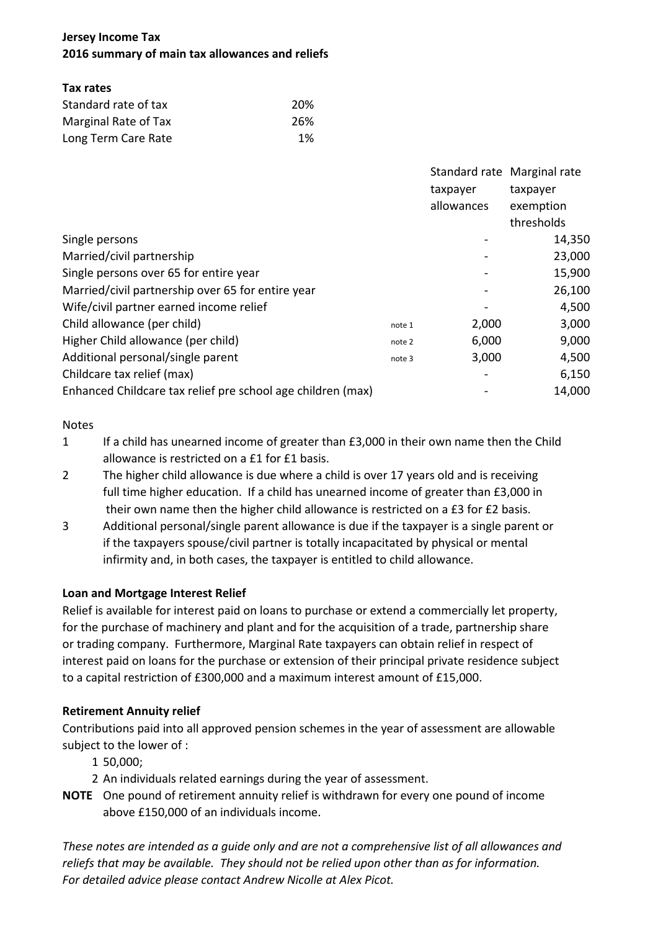# **Jersey Income Tax 2016 summary of main tax allowances and reliefs**

# **Tax rates**

| Standard rate of tax | 20% |  |  |
|----------------------|-----|--|--|
| Marginal Rate of Tax | 26% |  |  |
| Long Term Care Rate  | 1%  |  |  |

|                                                             |        | Standard rate Marginal rate |            |
|-------------------------------------------------------------|--------|-----------------------------|------------|
|                                                             |        | taxpayer                    | taxpayer   |
|                                                             |        | allowances                  | exemption  |
|                                                             |        |                             | thresholds |
| Single persons                                              |        |                             | 14,350     |
| Married/civil partnership                                   |        |                             | 23,000     |
| Single persons over 65 for entire year                      |        |                             | 15,900     |
| Married/civil partnership over 65 for entire year           |        |                             | 26,100     |
| Wife/civil partner earned income relief                     |        |                             | 4,500      |
| Child allowance (per child)                                 | note 1 | 2,000                       | 3,000      |
| Higher Child allowance (per child)                          | note 2 | 6,000                       | 9,000      |
| Additional personal/single parent                           | note 3 | 3,000                       | 4,500      |
| Childcare tax relief (max)                                  |        |                             | 6,150      |
| Enhanced Childcare tax relief pre school age children (max) |        |                             | 14,000     |

## Notes

- 1 If a child has unearned income of greater than £3,000 in their own name then the Child allowance is restricted on a £1 for £1 basis.
- 2 The higher child allowance is due where a child is over 17 years old and is receiving full time higher education. If a child has unearned income of greater than £3,000 in their own name then the higher child allowance is restricted on a £3 for £2 basis.
- 3 Additional personal/single parent allowance is due if the taxpayer is a single parent or if the taxpayers spouse/civil partner is totally incapacitated by physical or mental infirmity and, in both cases, the taxpayer is entitled to child allowance.

# **Loan and Mortgage Interest Relief**

Relief is available for interest paid on loans to purchase or extend a commercially let property, for the purchase of machinery and plant and for the acquisition of a trade, partnership share or trading company. Furthermore, Marginal Rate taxpayers can obtain relief in respect of interest paid on loans for the purchase or extension of their principal private residence subject to a capital restriction of £300,000 and a maximum interest amount of £15,000.

# **Retirement Annuity relief**

Contributions paid into all approved pension schemes in the year of assessment are allowable subject to the lower of :

- 1 50,000;
- 2 An individuals related earnings during the year of assessment.
- **NOTE** One pound of retirement annuity relief is withdrawn for every one pound of income above £150,000 of an individuals income.

*These notes are intended as a guide only and are not a comprehensive list of all allowances and reliefs that may be available. They should not be relied upon other than as for information. For detailed advice please contact Andrew Nicolle at Alex Picot.*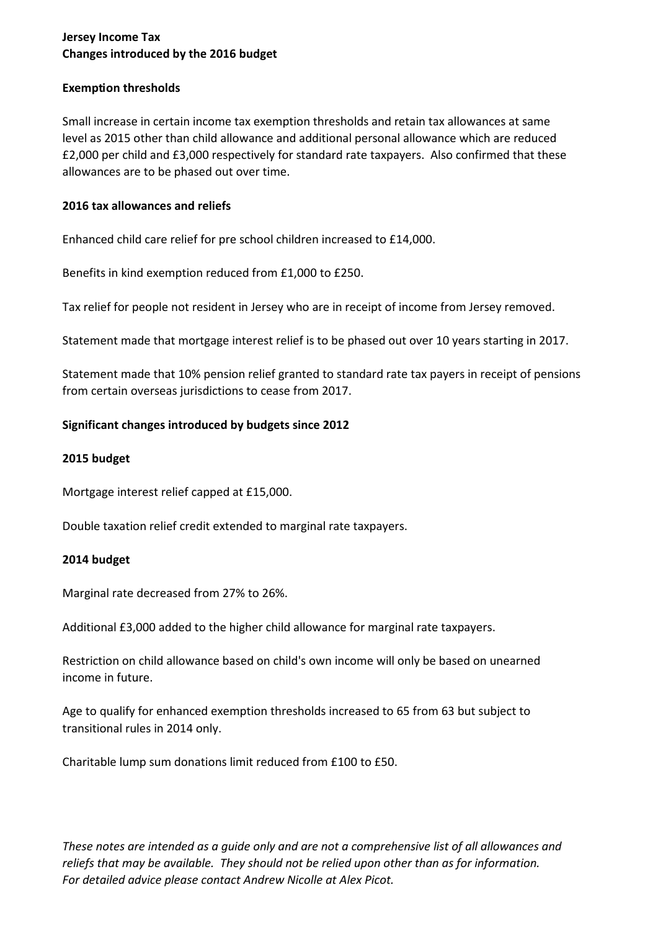# **Jersey Income Tax Changes introduced by the 2016 budget**

## **Exemption thresholds**

Small increase in certain income tax exemption thresholds and retain tax allowances at same level as 2015 other than child allowance and additional personal allowance which are reduced £2,000 per child and £3,000 respectively for standard rate taxpayers. Also confirmed that these allowances are to be phased out over time.

## **2016 tax allowances and reliefs**

Enhanced child care relief for pre school children increased to £14,000.

Benefits in kind exemption reduced from £1,000 to £250.

Tax relief for people not resident in Jersey who are in receipt of income from Jersey removed.

Statement made that mortgage interest relief is to be phased out over 10 years starting in 2017.

Statement made that 10% pension relief granted to standard rate tax payers in receipt of pensions from certain overseas jurisdictions to cease from 2017.

## **Significant changes introduced by budgets since 2012**

## **2015 budget**

Mortgage interest relief capped at £15,000.

Double taxation relief credit extended to marginal rate taxpayers.

## **2014 budget**

Marginal rate decreased from 27% to 26%.

Additional £3,000 added to the higher child allowance for marginal rate taxpayers.

Restriction on child allowance based on child's own income will only be based on unearned income in future.

Age to qualify for enhanced exemption thresholds increased to 65 from 63 but subject to transitional rules in 2014 only.

Charitable lump sum donations limit reduced from £100 to £50.

*These notes are intended as a guide only and are not a comprehensive list of all allowances and reliefs that may be available. They should not be relied upon other than as for information. For detailed advice please contact Andrew Nicolle at Alex Picot.*